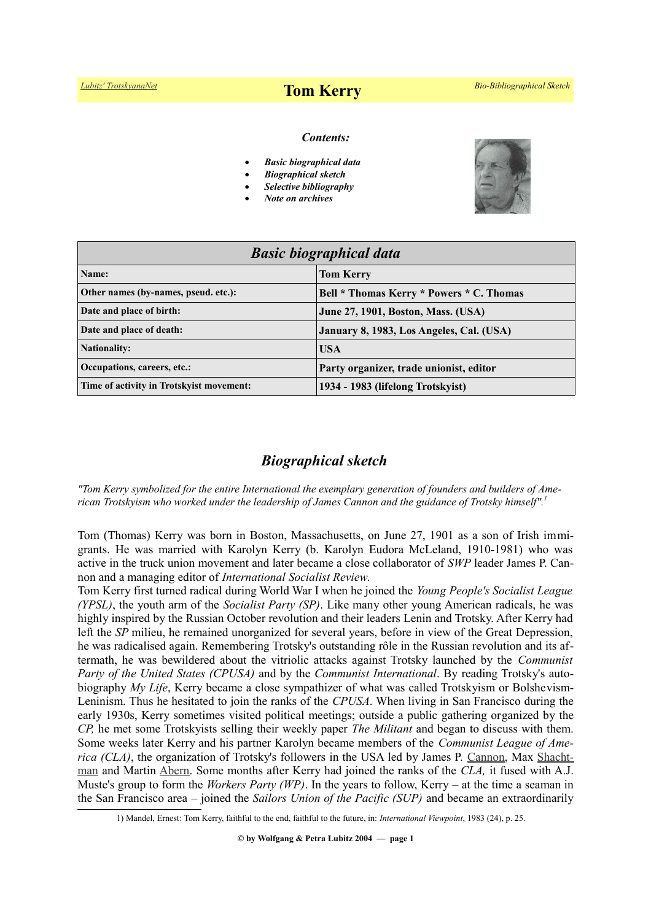# *[Lubitz' TrotskyanaNet](https://www.trotskyana.net/)* **Tom Kerry** *Bio-Bibliographical Sketch*

#### *Contents:*

- *Basic biographical data*
- *Biographical sketch*
- *Selective bibliography*
- *Note on archives*



| <b>Basic biographical data</b>           |                                           |
|------------------------------------------|-------------------------------------------|
| Name:                                    | <b>Tom Kerry</b>                          |
| Other names (by-names, pseud. etc.):     | Bell * Thomas Kerry * Powers * C. Thomas  |
| Date and place of birth:                 | <b>June 27, 1901, Boston, Mass. (USA)</b> |
| Date and place of death:                 | January 8, 1983, Los Angeles, Cal. (USA)  |
| <b>Nationality:</b>                      | <b>USA</b>                                |
| Occupations, careers, etc.:              | Party organizer, trade unionist, editor   |
| Time of activity in Trotskyist movement: | 1934 - 1983 (lifelong Trotskyist)         |

# *Biographical sketch*

*"Tom Kerry symbolized for the entire International the exemplary generation of founders and builders of American Trotskyism who worked under the leadership of James Cannon and the guidance of Trotsky himself".[1](#page-0-0)*

Tom (Thomas) Kerry was born in Boston, Massachusetts, on June 27, 1901 as a son of Irish immigrants. He was married with Karolyn Kerry (b. Karolyn Eudora McLeland, 1910-1981) who was active in the truck union movement and later became a close collaborator of *SWP* leader James P. Cannon and a managing editor of *International Socialist Review*.

Tom Kerry first turned radical during World War I when he joined the *Young People's Socialist League (YPSL)*, the youth arm of the *Socialist Party (SP)*. Like many other young American radicals, he was highly inspired by the Russian October revolution and their leaders Lenin and Trotsky. After Kerry had left the *SP* milieu, he remained unorganized for several years, before in view of the Great Depression, he was radicalised again. Remembering Trotsky's outstanding rôle in the Russian revolution and its aftermath, he was bewildered about the vitriolic attacks against Trotsky launched by the *Communist Party of the United States (CPUSA)* and by the *Communist International*. By reading Trotsky's autobiography *My Life*, Kerry became a close sympathizer of what was called Trotskyism or Bolshevism-Leninism. Thus he hesitated to join the ranks of the *CPUSA*. When living in San Francisco during the early 1930s, Kerry sometimes visited political meetings; outside a public gathering organized by the *CP,* he met some Trotskyists selling their weekly paper *The Militant* and began to discuss with them. Some weeks later Kerry and his partner Karolyn became members of the *Communist League of America (CLA)*, the organization of Trotsky's followers in the USA led by James P. [Cannon,](https://www.trotskyana.net/Trotskyists/Bio-Bibliographies/bio-bibl_cannon.pdf) Max [Shacht](https://www.trotskyana.net/Trotskyists/Bio-Bibliographies/bio-bibl_shachtman.pdf)[man](https://www.trotskyana.net/Trotskyists/Bio-Bibliographies/bio-bibl_shachtman.pdf) and Martin [Abern.](https://www.trotskyana.net/Trotskyists/Bio-Bibliographies/bio-bibl_abern.pdf) Some months after Kerry had joined the ranks of the *CLA,* it fused with A.J. Muste's group to form the *Workers Party (WP)*. In the years to follow, Kerry *–* at the time a seaman in the San Francisco area *–* joined the *Sailors Union of the Pacific (SUP)* and became an extraordinarily

<span id="page-0-0"></span><sup>1)</sup> Mandel, Ernest: Tom Kerry, faithful to the end, faithful to the future, in: *International Viewpoint*, 1983 (24), p. 25.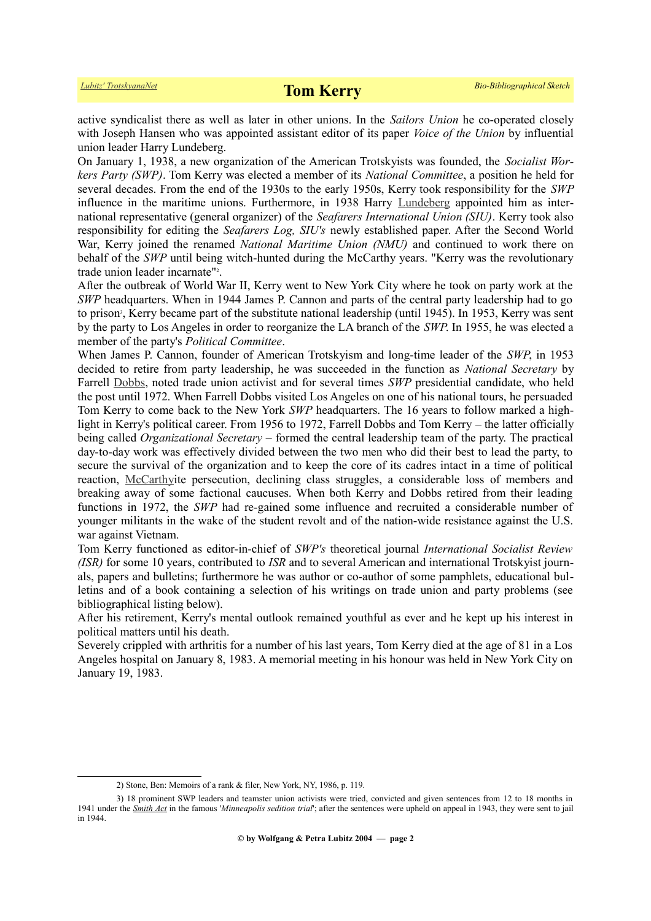active syndicalist there as well as later in other unions. In the *Sailors Union* he co-operated closely with Joseph Hansen who was appointed assistant editor of its paper *Voice of the Union* by influential union leader Harry Lundeberg.

On January 1, 1938, a new organization of the American Trotskyists was founded, the *Socialist Workers Party (SWP)*. Tom Kerry was elected a member of its *National Committee*, a position he held for several decades. From the end of the 1930s to the early 1950s, Kerry took responsibility for the *SWP* influence in the maritime unions. Furthermore, in 1938 Harry [Lundeberg](https://en.wikipedia.org/wiki/Harry_Lundeberg) appointed him as international representative (general organizer) of the *Seafarers International Union (SIU)*. Kerry took also responsibility for editing the *Seafarers Log, SIU's* newly established paper. After the Second World War, Kerry joined the renamed *National Maritime Union (NMU)* and continued to work there on behalf of the *SWP* until being witch-hunted during the McCarthy years. "Kerry was the revolutionary trade union leader incarnate"<sup>[2](#page-1-0)</sup>.

After the outbreak of World War II, Kerry went to New York City where he took on party work at the *SWP* headquarters. When in 1944 James P. Cannon and parts of the central party leadership had to go to prison<sup>[3](#page-1-1)</sup>, Kerry became part of the substitute national leadership (until 1945). In 1953, Kerry was sent by the party to Los Angeles in order to reorganize the LA branch of the *SWP*. In 1955, he was elected a member of the party's *Political Committee*.

When James P. Cannon, founder of American Trotskyism and long-time leader of the *SWP*, in 1953 decided to retire from party leadership, he was succeeded in the function as *National Secretary* by Farrell [Dobbs,](https://en.wikipedia.org/wiki/Farrell_Dobbs) noted trade union activist and for several times *SWP* presidential candidate, who held the post until 1972. When Farrell Dobbs visited Los Angeles on one of his national tours, he persuaded Tom Kerry to come back to the New York *SWP* headquarters. The 16 years to follow marked a highlight in Kerry's political career. From 1956 to 1972, Farrell Dobbs and Tom Kerry *–* the latter officially being called *Organizational Secretary –* formed the central leadership team of the party. The practical day-to-day work was effectively divided between the two men who did their best to lead the party, to secure the survival of the organization and to keep the core of its cadres intact in a time of political reaction, [McCarthyi](https://en.wikipedia.org/wiki/McCarthyism)te persecution, declining class struggles, a considerable loss of members and breaking away of some factional caucuses. When both Kerry and Dobbs retired from their leading functions in 1972, the *SWP* had re-gained some influence and recruited a considerable number of younger militants in the wake of the student revolt and of the nation-wide resistance against the U.S. war against Vietnam.

Tom Kerry functioned as editor-in-chief of *SWP's* theoretical journal *International Socialist Review (ISR)* for some 10 years, contributed to *ISR* and to several American and international Trotskyist journals, papers and bulletins; furthermore he was author or co-author of some pamphlets, educational bulletins and of a book containing a selection of his writings on trade union and party problems (see bibliographical listing below).

After his retirement, Kerry's mental outlook remained youthful as ever and he kept up his interest in political matters until his death.

Severely crippled with arthritis for a number of his last years, Tom Kerry died at the age of 81 in a Los Angeles hospital on January 8, 1983. A memorial meeting in his honour was held in New York City on January 19, 1983.

<span id="page-1-1"></span><span id="page-1-0"></span><sup>2)</sup> Stone, Ben: Memoirs of a rank & filer, New York, NY, 1986, p. 119.

<sup>3) 18</sup> prominent SWP leaders and teamster union activists were tried, convicted and given sentences from 12 to 18 months in 1941 under the *[Smith Act](https://en.wikipedia.org/wiki/Smith_Act)* in the famous '*Minneapolis sedition trial*'; after the sentences were upheld on appeal in 1943, they were sent to jail in 1944.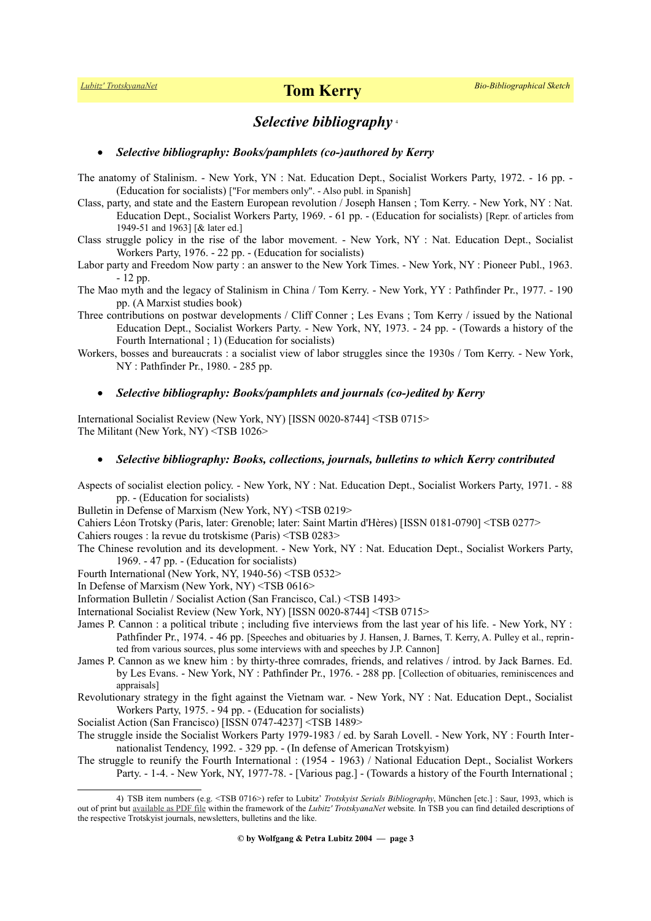## *Selective bibliography* [4](#page-2-0)

#### *Selective bibliography: Books/pamphlets (co-)authored by Kerry*

The anatomy of Stalinism. - New York, YN : Nat. Education Dept., Socialist Workers Party, 1972. - 16 pp. - (Education for socialists) ["For members only". - Also publ. in Spanish]

- Class, party, and state and the Eastern European revolution / Joseph Hansen ; Tom Kerry. New York, NY : Nat. Education Dept., Socialist Workers Party, 1969. - 61 pp. - (Education for socialists) [Repr. of articles from 1949-51 and 1963] [& later ed.]
- Class struggle policy in the rise of the labor movement. New York, NY : Nat. Education Dept., Socialist Workers Party, 1976. - 22 pp. - (Education for socialists)

Labor party and Freedom Now party : an answer to the New York Times. - New York, NY : Pioneer Publ., 1963. - 12 pp.

- The Mao myth and the legacy of Stalinism in China / Tom Kerry. New York, YY : Pathfinder Pr., 1977. 190 pp. (A Marxist studies book)
- Three contributions on postwar developments / Cliff Conner ; Les Evans ; Tom Kerry / issued by the National Education Dept., Socialist Workers Party. - New York, NY, 1973. - 24 pp. - (Towards a history of the Fourth International ; 1) (Education for socialists)
- Workers, bosses and bureaucrats : a socialist view of labor struggles since the 1930s / Tom Kerry. New York, NY : Pathfinder Pr., 1980. - 285 pp.

### *Selective bibliography: Books/pamphlets and journals (co-)edited by Kerry*

International Socialist Review (New York, NY) [ISSN 0020-8744] <TSB 0715> The Militant (New York, NY) <TSB 1026>

#### *Selective bibliography: Books, collections, journals, bulletins to which Kerry contributed*

Aspects of socialist election policy. - New York, NY : Nat. Education Dept., Socialist Workers Party, 1971. - 88 pp. - (Education for socialists)

Bulletin in Defense of Marxism (New York, NY) <TSB 0219>

Cahiers Léon Trotsky (Paris, later: Grenoble; later: Saint Martin d'Hères) [ISSN 0181-0790] <TSB 0277>

Cahiers rouges : la revue du trotskisme (Paris) <TSB 0283>

The Chinese revolution and its development. - New York, NY : Nat. Education Dept., Socialist Workers Party, 1969. - 47 pp. - (Education for socialists)

Fourth International (New York, NY, 1940-56) <TSB 0532>

In Defense of Marxism (New York, NY) <TSB 0616>

Information Bulletin / Socialist Action (San Francisco, Cal.) <TSB 1493>

International Socialist Review (New York, NY) [ISSN 0020-8744] <TSB 0715>

- James P. Cannon : a political tribute ; including five interviews from the last year of his life. New York, NY : Pathfinder Pr., 1974. - 46 pp. [Speeches and obituaries by J. Hansen, J. Barnes, T. Kerry, A. Pulley et al., reprinted from various sources, plus some interviews with and speeches by J.P. Cannon]
- James P. Cannon as we knew him : by thirty-three comrades, friends, and relatives / introd. by Jack Barnes. Ed. by Les Evans. - New York, NY : Pathfinder Pr., 1976. - 288 pp. [Collection of obituaries, reminiscences and appraisals]
- Revolutionary strategy in the fight against the Vietnam war. New York, NY : Nat. Education Dept., Socialist Workers Party, 1975. - 94 pp. - (Education for socialists)

Socialist Action (San Francisco) [ISSN 0747-4237] <TSB 1489>

- The struggle inside the Socialist Workers Party 1979-1983 / ed. by Sarah Lovell. New York, NY : Fourth Internationalist Tendency, 1992. - 329 pp. - (In defense of American Trotskyism)
- The struggle to reunify the Fourth International : (1954 1963) / National Education Dept., Socialist Workers Party. - 1-4. - New York, NY, 1977-78. - [Various pag.] - (Towards a history of the Fourth International ;

<span id="page-2-0"></span><sup>4)</sup> TSB item numbers (e.g. <TSB 0716>) refer to Lubitz' *Trotskyist Serials Bibliography*, München [etc.] : Saur, 1993, which is out of print but [available as PDF file](https://www.trotskyana.net/LubitzBibliographies/Serials_Bibliography/serials_bibliography.htm#PDF) within the framework of the *Lubitz' TrotskyanaNet* website*.* In TSB you can find detailed descriptions of the respective Trotskyist journals, newsletters, bulletins and the like.